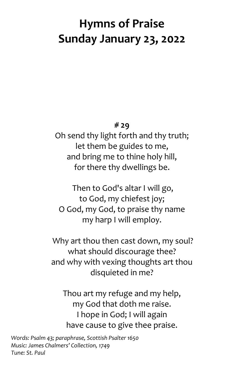# **Hymns of Praise Sunday January 23, 2022**

#### **# 29**

Oh send thy light forth and thy truth; let them be guides to me, and bring me to thine holy hill, for there thy dwellings be.

Then to God's altar I will go, to God, my chiefest joy; O God, my God, to praise thy name my harp I will employ.

Why art thou then cast down, my soul? what should discourage thee? and why with vexing thoughts art thou disquieted in me?

Thou art my refuge and my help, my God that doth me raise. I hope in God; I will again have cause to give thee praise.

*Words: Psalm 43; paraphrase, Scottish Psalter 1650 Music: James Chalmers' Collection, 1749 Tune: St. Paul*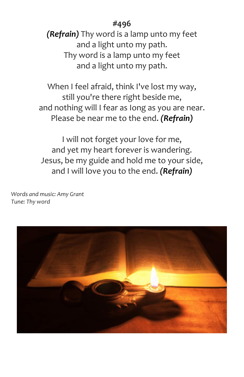### **#496**

*(Refrain)* Thy word is a lamp unto my feet and a light unto my path. Thy word is a lamp unto my feet and a light unto my path.

When I feel afraid, think I've lost my way, still you're there right beside me, and nothing will I fear as Iong as you are near. Please be near me to the end. *(Refrain)*

I will not forget your love for me, and yet my heart forever is wandering. Jesus, be my guide and hold me to your side, and I will love you to the end. *(Refrain)*

*Words and music: Amy Grant Tune: Thy word*

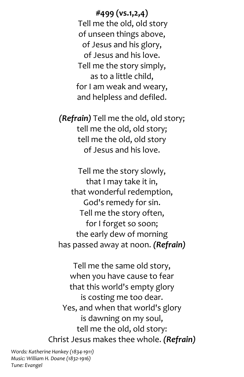**#499 (vs.1,2,4)** Tell me the old, old story of unseen things above, of Jesus and his glory, of Jesus and his love. Tell me the story simply, as to a little child, for I am weak and weary, and helpless and defiled.

*(Refrain)* Tell me the old, old story; tell me the old, old story; tell me the old, old story of Jesus and his love.

Tell me the story slowly, that I may take it in, that wonderful redemption, God's remedy for sin. Tell me the story often, for I forget so soon; the early dew of morning has passed away at noon. *(Refrain)*

Tell me the same old story, when you have cause to fear that this world's empty glory is costing me too dear. Yes, and when that world's glory is dawning on my soul, tell me the old, old story: Christ Jesus makes thee whole. *(Refrain)*

*Words: Katherine Hankey (1834-1911) Music: William H. Doane (1832-1916) Tune: Evangel*